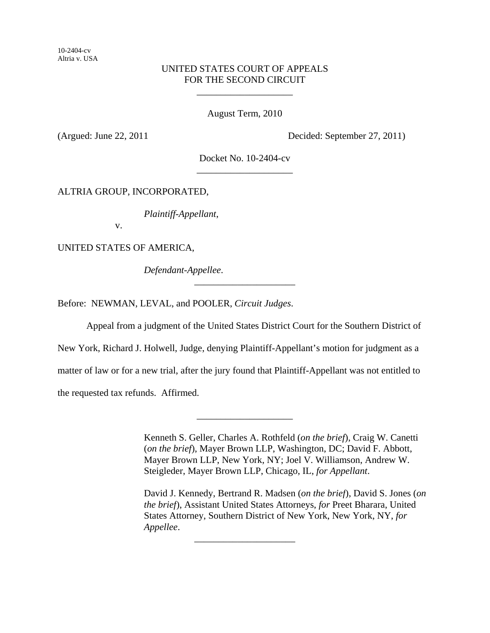10-2404-cv Altria v. USA

# UNITED STATES COURT OF APPEALS FOR THE SECOND CIRCUIT

\_\_\_\_\_\_\_\_\_\_\_\_\_\_\_\_\_\_\_\_

August Term, 2010

(Argued: June 22, 2011 Decided: September 27, 2011)

Docket No. 10-2404-cv \_\_\_\_\_\_\_\_\_\_\_\_\_\_\_\_\_\_\_\_

ALTRIA GROUP, INCORPORATED,

*Plaintiff-Appellant*,

v.

UNITED STATES OF AMERICA,

*Defendant-Appellee*.

Before: NEWMAN, LEVAL, and POOLER, *Circuit Judges*.

Appeal from a judgment of the United States District Court for the Southern District of

\_\_\_\_\_\_\_\_\_\_\_\_\_\_\_\_\_\_\_\_\_

New York, Richard J. Holwell, Judge, denying Plaintiff-Appellant's motion for judgment as a

matter of law or for a new trial, after the jury found that Plaintiff-Appellant was not entitled to

\_\_\_\_\_\_\_\_\_\_\_\_\_\_\_\_\_\_\_\_

\_\_\_\_\_\_\_\_\_\_\_\_\_\_\_\_\_\_\_\_\_

the requested tax refunds. Affirmed.

Kenneth S. Geller, Charles A. Rothfeld (*on the brief*), Craig W. Canetti (*on the brief*), Mayer Brown LLP, Washington, DC; David F. Abbott, Mayer Brown LLP, New York, NY; Joel V. Williamson, Andrew W. Steigleder, Mayer Brown LLP, Chicago, IL, *for Appellant*.

David J. Kennedy, Bertrand R. Madsen (*on the brief*), David S. Jones (*on the brief*), Assistant United States Attorneys, *for* Preet Bharara, United States Attorney, Southern District of New York, New York, NY, *for Appellee*.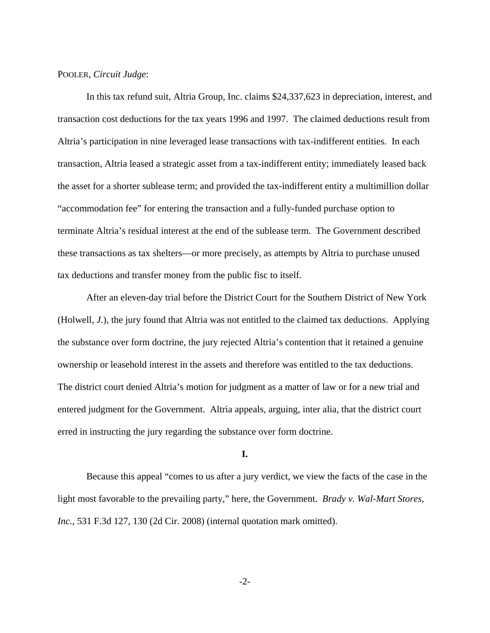### POOLER, *Circuit Judge*:

In this tax refund suit, Altria Group, Inc. claims \$24,337,623 in depreciation, interest, and transaction cost deductions for the tax years 1996 and 1997. The claimed deductions result from Altria's participation in nine leveraged lease transactions with tax-indifferent entities. In each transaction, Altria leased a strategic asset from a tax-indifferent entity; immediately leased back the asset for a shorter sublease term; and provided the tax-indifferent entity a multimillion dollar "accommodation fee" for entering the transaction and a fully-funded purchase option to terminate Altria's residual interest at the end of the sublease term. The Government described these transactions as tax shelters—or more precisely, as attempts by Altria to purchase unused tax deductions and transfer money from the public fisc to itself.

After an eleven-day trial before the District Court for the Southern District of New York (Holwell, *J.*), the jury found that Altria was not entitled to the claimed tax deductions. Applying the substance over form doctrine, the jury rejected Altria's contention that it retained a genuine ownership or leasehold interest in the assets and therefore was entitled to the tax deductions. The district court denied Altria's motion for judgment as a matter of law or for a new trial and entered judgment for the Government. Altria appeals, arguing, inter alia, that the district court erred in instructing the jury regarding the substance over form doctrine.

# **I.**

Because this appeal "comes to us after a jury verdict, we view the facts of the case in the light most favorable to the prevailing party," here, the Government. *Brady v. Wal-Mart Stores, Inc.*, 531 F.3d 127, 130 (2d Cir. 2008) (internal quotation mark omitted).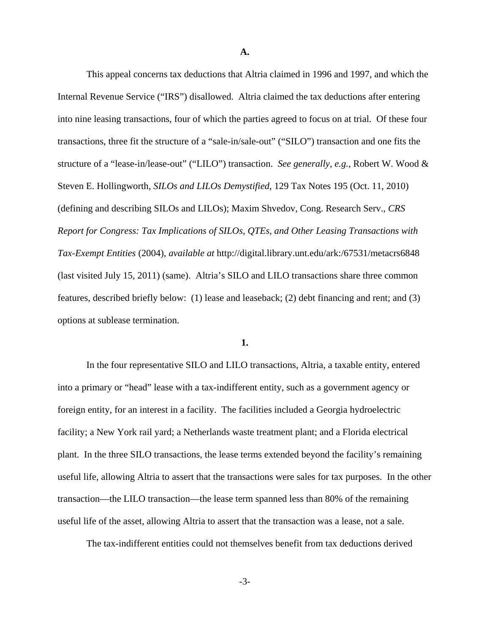**A.**

This appeal concerns tax deductions that Altria claimed in 1996 and 1997, and which the Internal Revenue Service ("IRS") disallowed. Altria claimed the tax deductions after entering into nine leasing transactions, four of which the parties agreed to focus on at trial. Of these four transactions, three fit the structure of a "sale-in/sale-out" ("SILO") transaction and one fits the structure of a "lease-in/lease-out" ("LILO") transaction. *See generally, e.g.*, Robert W. Wood & Steven E. Hollingworth, *SILOs and LILOs Demystified*, 129 Tax Notes 195 (Oct. 11, 2010) (defining and describing SILOs and LILOs); Maxim Shvedov, Cong. Research Serv., *CRS Report for Congress: Tax Implications of SILOs, QTEs, and Other Leasing Transactions with Tax-Exempt Entities* (2004), *available at* http://digital.library.unt.edu/ark:/67531/metacrs6848 (last visited July 15, 2011) (same). Altria's SILO and LILO transactions share three common features, described briefly below: (1) lease and leaseback; (2) debt financing and rent; and (3) options at sublease termination.

### **1.**

In the four representative SILO and LILO transactions, Altria, a taxable entity, entered into a primary or "head" lease with a tax-indifferent entity, such as a government agency or foreign entity, for an interest in a facility. The facilities included a Georgia hydroelectric facility; a New York rail yard; a Netherlands waste treatment plant; and a Florida electrical plant. In the three SILO transactions, the lease terms extended beyond the facility's remaining useful life, allowing Altria to assert that the transactions were sales for tax purposes. In the other transaction—the LILO transaction—the lease term spanned less than 80% of the remaining useful life of the asset, allowing Altria to assert that the transaction was a lease, not a sale.

The tax-indifferent entities could not themselves benefit from tax deductions derived

-3-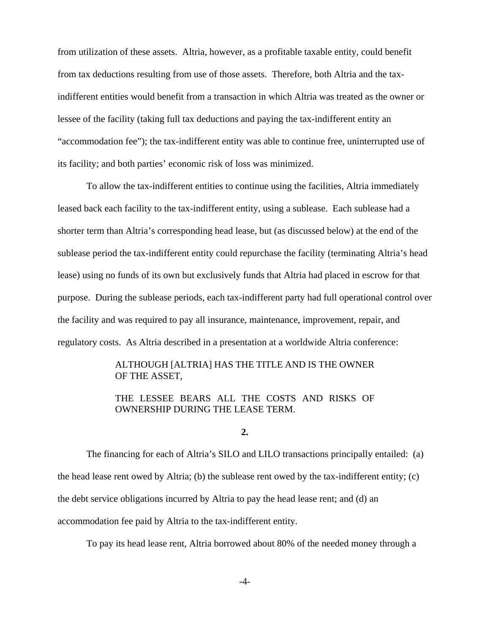from utilization of these assets. Altria, however, as a profitable taxable entity, could benefit from tax deductions resulting from use of those assets. Therefore, both Altria and the taxindifferent entities would benefit from a transaction in which Altria was treated as the owner or lessee of the facility (taking full tax deductions and paying the tax-indifferent entity an "accommodation fee"); the tax-indifferent entity was able to continue free, uninterrupted use of its facility; and both parties' economic risk of loss was minimized.

To allow the tax-indifferent entities to continue using the facilities, Altria immediately leased back each facility to the tax-indifferent entity, using a sublease. Each sublease had a shorter term than Altria's corresponding head lease, but (as discussed below) at the end of the sublease period the tax-indifferent entity could repurchase the facility (terminating Altria's head lease) using no funds of its own but exclusively funds that Altria had placed in escrow for that purpose. During the sublease periods, each tax-indifferent party had full operational control over the facility and was required to pay all insurance, maintenance, improvement, repair, and regulatory costs. As Altria described in a presentation at a worldwide Altria conference:

# ALTHOUGH [ALTRIA] HAS THE TITLE AND IS THE OWNER OF THE ASSET,

# THE LESSEE BEARS ALL THE COSTS AND RISKS OF OWNERSHIP DURING THE LEASE TERM.

### **2.**

The financing for each of Altria's SILO and LILO transactions principally entailed: (a) the head lease rent owed by Altria; (b) the sublease rent owed by the tax-indifferent entity;  $(c)$ the debt service obligations incurred by Altria to pay the head lease rent; and (d) an accommodation fee paid by Altria to the tax-indifferent entity.

To pay its head lease rent, Altria borrowed about 80% of the needed money through a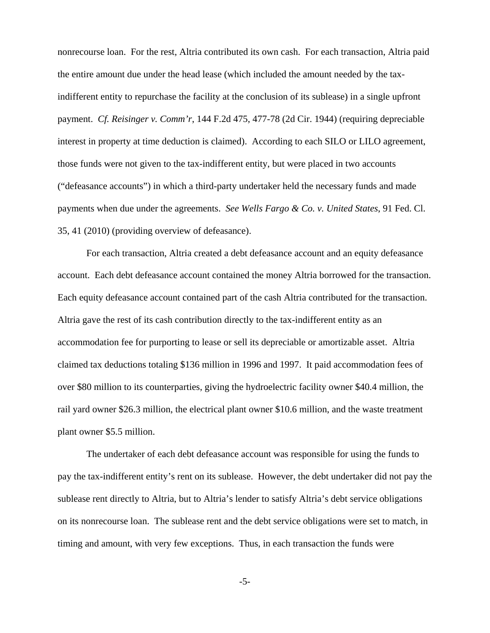nonrecourse loan. For the rest, Altria contributed its own cash. For each transaction, Altria paid the entire amount due under the head lease (which included the amount needed by the taxindifferent entity to repurchase the facility at the conclusion of its sublease) in a single upfront payment. *Cf. Reisinger v. Comm'r*, 144 F.2d 475, 477-78 (2d Cir. 1944) (requiring depreciable interest in property at time deduction is claimed). According to each SILO or LILO agreement, those funds were not given to the tax-indifferent entity, but were placed in two accounts ("defeasance accounts") in which a third-party undertaker held the necessary funds and made payments when due under the agreements. *See Wells Fargo & Co. v. United States*, 91 Fed. Cl. 35, 41 (2010) (providing overview of defeasance).

For each transaction, Altria created a debt defeasance account and an equity defeasance account. Each debt defeasance account contained the money Altria borrowed for the transaction. Each equity defeasance account contained part of the cash Altria contributed for the transaction. Altria gave the rest of its cash contribution directly to the tax-indifferent entity as an accommodation fee for purporting to lease or sell its depreciable or amortizable asset. Altria claimed tax deductions totaling \$136 million in 1996 and 1997. It paid accommodation fees of over \$80 million to its counterparties, giving the hydroelectric facility owner \$40.4 million, the rail yard owner \$26.3 million, the electrical plant owner \$10.6 million, and the waste treatment plant owner \$5.5 million.

The undertaker of each debt defeasance account was responsible for using the funds to pay the tax-indifferent entity's rent on its sublease. However, the debt undertaker did not pay the sublease rent directly to Altria, but to Altria's lender to satisfy Altria's debt service obligations on its nonrecourse loan. The sublease rent and the debt service obligations were set to match, in timing and amount, with very few exceptions. Thus, in each transaction the funds were

-5-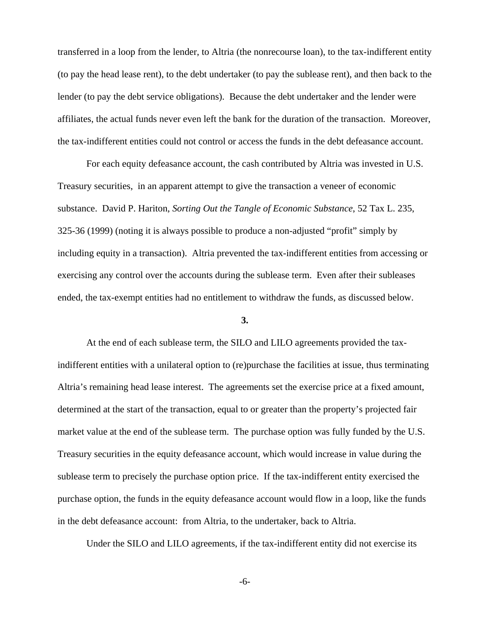transferred in a loop from the lender, to Altria (the nonrecourse loan), to the tax-indifferent entity (to pay the head lease rent), to the debt undertaker (to pay the sublease rent), and then back to the lender (to pay the debt service obligations). Because the debt undertaker and the lender were affiliates, the actual funds never even left the bank for the duration of the transaction. Moreover, the tax-indifferent entities could not control or access the funds in the debt defeasance account.

For each equity defeasance account, the cash contributed by Altria was invested in U.S. Treasury securities, in an apparent attempt to give the transaction a veneer of economic substance. David P. Hariton, *Sorting Out the Tangle of Economic Substance*, 52 Tax L. 235, 325-36 (1999) (noting it is always possible to produce a non-adjusted "profit" simply by including equity in a transaction). Altria prevented the tax-indifferent entities from accessing or exercising any control over the accounts during the sublease term. Even after their subleases ended, the tax-exempt entities had no entitlement to withdraw the funds, as discussed below.

#### **3.**

At the end of each sublease term, the SILO and LILO agreements provided the taxindifferent entities with a unilateral option to (re)purchase the facilities at issue, thus terminating Altria's remaining head lease interest. The agreements set the exercise price at a fixed amount, determined at the start of the transaction, equal to or greater than the property's projected fair market value at the end of the sublease term. The purchase option was fully funded by the U.S. Treasury securities in the equity defeasance account, which would increase in value during the sublease term to precisely the purchase option price. If the tax-indifferent entity exercised the purchase option, the funds in the equity defeasance account would flow in a loop, like the funds in the debt defeasance account: from Altria, to the undertaker, back to Altria.

Under the SILO and LILO agreements, if the tax-indifferent entity did not exercise its

-6-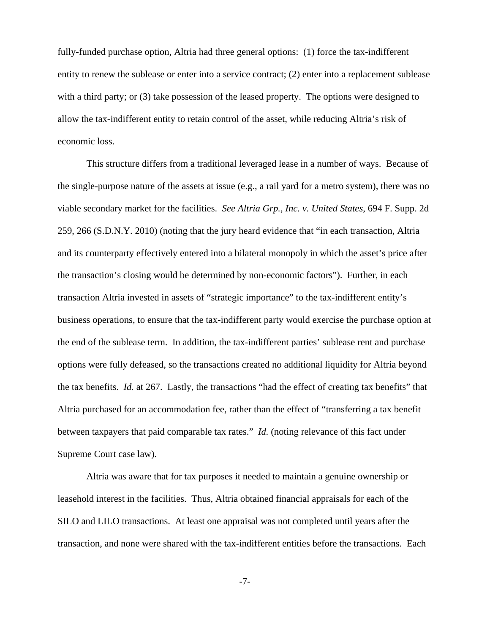fully-funded purchase option, Altria had three general options: (1) force the tax-indifferent entity to renew the sublease or enter into a service contract; (2) enter into a replacement sublease with a third party; or (3) take possession of the leased property. The options were designed to allow the tax-indifferent entity to retain control of the asset, while reducing Altria's risk of economic loss.

This structure differs from a traditional leveraged lease in a number of ways. Because of the single-purpose nature of the assets at issue (e.g., a rail yard for a metro system), there was no viable secondary market for the facilities. *See Altria Grp., Inc. v. United States*, 694 F. Supp. 2d 259, 266 (S.D.N.Y. 2010) (noting that the jury heard evidence that "in each transaction, Altria and its counterparty effectively entered into a bilateral monopoly in which the asset's price after the transaction's closing would be determined by non-economic factors"). Further, in each transaction Altria invested in assets of "strategic importance" to the tax-indifferent entity's business operations, to ensure that the tax-indifferent party would exercise the purchase option at the end of the sublease term. In addition, the tax-indifferent parties' sublease rent and purchase options were fully defeased, so the transactions created no additional liquidity for Altria beyond the tax benefits. *Id.* at 267. Lastly, the transactions "had the effect of creating tax benefits" that Altria purchased for an accommodation fee, rather than the effect of "transferring a tax benefit between taxpayers that paid comparable tax rates." *Id.* (noting relevance of this fact under Supreme Court case law).

Altria was aware that for tax purposes it needed to maintain a genuine ownership or leasehold interest in the facilities. Thus, Altria obtained financial appraisals for each of the SILO and LILO transactions. At least one appraisal was not completed until years after the transaction, and none were shared with the tax-indifferent entities before the transactions. Each

-7-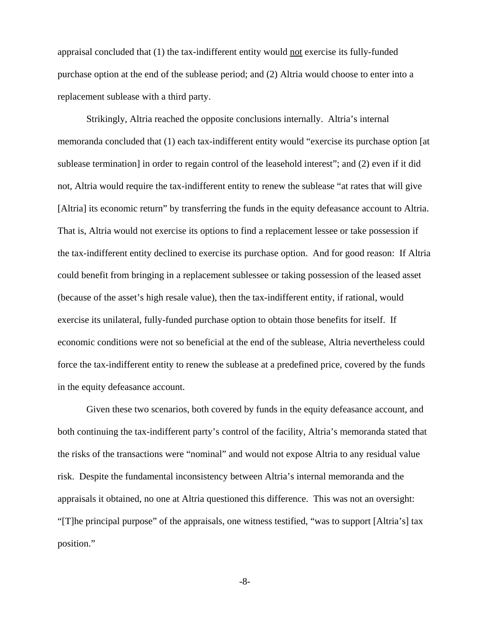appraisal concluded that (1) the tax-indifferent entity would not exercise its fully-funded purchase option at the end of the sublease period; and (2) Altria would choose to enter into a replacement sublease with a third party.

Strikingly, Altria reached the opposite conclusions internally. Altria's internal memoranda concluded that (1) each tax-indifferent entity would "exercise its purchase option [at sublease termination] in order to regain control of the leasehold interest"; and (2) even if it did not, Altria would require the tax-indifferent entity to renew the sublease "at rates that will give [Altria] its economic return" by transferring the funds in the equity defeasance account to Altria. That is, Altria would not exercise its options to find a replacement lessee or take possession if the tax-indifferent entity declined to exercise its purchase option. And for good reason: If Altria could benefit from bringing in a replacement sublessee or taking possession of the leased asset (because of the asset's high resale value), then the tax-indifferent entity, if rational, would exercise its unilateral, fully-funded purchase option to obtain those benefits for itself. If economic conditions were not so beneficial at the end of the sublease, Altria nevertheless could force the tax-indifferent entity to renew the sublease at a predefined price, covered by the funds in the equity defeasance account.

Given these two scenarios, both covered by funds in the equity defeasance account, and both continuing the tax-indifferent party's control of the facility, Altria's memoranda stated that the risks of the transactions were "nominal" and would not expose Altria to any residual value risk. Despite the fundamental inconsistency between Altria's internal memoranda and the appraisals it obtained, no one at Altria questioned this difference. This was not an oversight: "[T]he principal purpose" of the appraisals, one witness testified, "was to support [Altria's] tax position."

-8-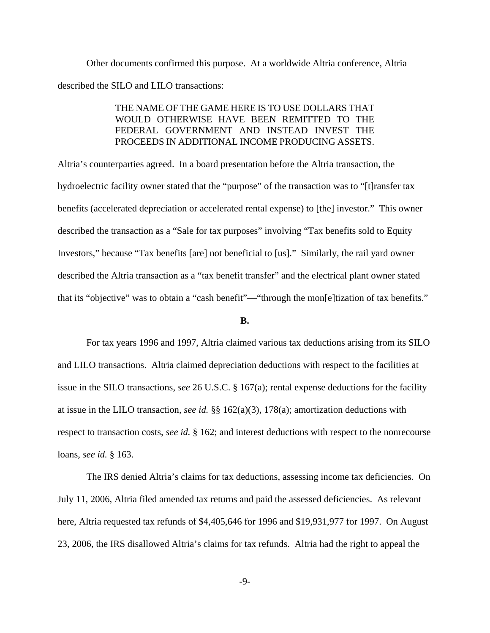Other documents confirmed this purpose. At a worldwide Altria conference, Altria described the SILO and LILO transactions:

# THE NAME OF THE GAME HERE IS TO USE DOLLARS THAT WOULD OTHERWISE HAVE BEEN REMITTED TO THE FEDERAL GOVERNMENT AND INSTEAD INVEST THE PROCEEDS IN ADDITIONAL INCOME PRODUCING ASSETS.

Altria's counterparties agreed. In a board presentation before the Altria transaction, the hydroelectric facility owner stated that the "purpose" of the transaction was to "[t]ransfer tax benefits (accelerated depreciation or accelerated rental expense) to [the] investor." This owner described the transaction as a "Sale for tax purposes" involving "Tax benefits sold to Equity Investors," because "Tax benefits [are] not beneficial to [us]." Similarly, the rail yard owner described the Altria transaction as a "tax benefit transfer" and the electrical plant owner stated that its "objective" was to obtain a "cash benefit"—"through the mon[e]tization of tax benefits."

#### **B.**

For tax years 1996 and 1997, Altria claimed various tax deductions arising from its SILO and LILO transactions. Altria claimed depreciation deductions with respect to the facilities at issue in the SILO transactions, *see* 26 U.S.C. § 167(a); rental expense deductions for the facility at issue in the LILO transaction, *see id.* §§ 162(a)(3), 178(a); amortization deductions with respect to transaction costs, *see id.* § 162; and interest deductions with respect to the nonrecourse loans, *see id.* § 163.

The IRS denied Altria's claims for tax deductions, assessing income tax deficiencies. On July 11, 2006, Altria filed amended tax returns and paid the assessed deficiencies. As relevant here, Altria requested tax refunds of \$4,405,646 for 1996 and \$19,931,977 for 1997. On August 23, 2006, the IRS disallowed Altria's claims for tax refunds. Altria had the right to appeal the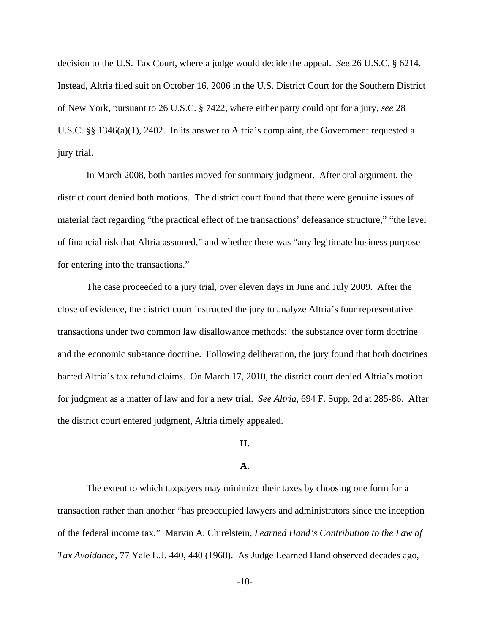decision to the U.S. Tax Court, where a judge would decide the appeal. *See* 26 U.S.C. § 6214. Instead, Altria filed suit on October 16, 2006 in the U.S. District Court for the Southern District of New York, pursuant to 26 U.S.C. § 7422, where either party could opt for a jury, *see* 28 U.S.C. §§ 1346(a)(1), 2402. In its answer to Altria's complaint, the Government requested a jury trial.

In March 2008, both parties moved for summary judgment. After oral argument, the district court denied both motions. The district court found that there were genuine issues of material fact regarding "the practical effect of the transactions' defeasance structure," "the level of financial risk that Altria assumed," and whether there was "any legitimate business purpose for entering into the transactions."

The case proceeded to a jury trial, over eleven days in June and July 2009. After the close of evidence, the district court instructed the jury to analyze Altria's four representative transactions under two common law disallowance methods: the substance over form doctrine and the economic substance doctrine. Following deliberation, the jury found that both doctrines barred Altria's tax refund claims. On March 17, 2010, the district court denied Altria's motion for judgment as a matter of law and for a new trial. *See Altria*, 694 F. Supp. 2d at 285-86. After the district court entered judgment, Altria timely appealed.

# **II.**

#### **A.**

The extent to which taxpayers may minimize their taxes by choosing one form for a transaction rather than another "has preoccupied lawyers and administrators since the inception of the federal income tax." Marvin A. Chirelstein, *Learned Hand's Contribution to the Law of Tax Avoidance*, 77 Yale L.J. 440, 440 (1968). As Judge Learned Hand observed decades ago,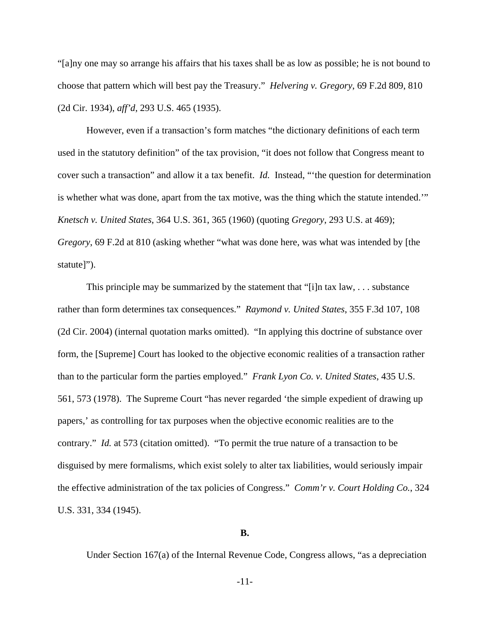"[a]ny one may so arrange his affairs that his taxes shall be as low as possible; he is not bound to choose that pattern which will best pay the Treasury." *Helvering v. Gregory*, 69 F.2d 809, 810 (2d Cir. 1934), *aff'd*, 293 U.S. 465 (1935).

However, even if a transaction's form matches "the dictionary definitions of each term used in the statutory definition" of the tax provision, "it does not follow that Congress meant to cover such a transaction" and allow it a tax benefit. *Id.* Instead, "'the question for determination is whether what was done, apart from the tax motive, was the thing which the statute intended.'" *Knetsch v. United States*, 364 U.S. 361, 365 (1960) (quoting *Gregory*, 293 U.S. at 469); *Gregory*, 69 F.2d at 810 (asking whether "what was done here, was what was intended by [the statute]").

This principle may be summarized by the statement that "[i]n tax law, . . . substance rather than form determines tax consequences." *Raymond v. United States*, 355 F.3d 107, 108 (2d Cir. 2004) (internal quotation marks omitted). "In applying this doctrine of substance over form, the [Supreme] Court has looked to the objective economic realities of a transaction rather than to the particular form the parties employed." *Frank Lyon Co. v. United States*, 435 U.S. 561, 573 (1978). The Supreme Court "has never regarded 'the simple expedient of drawing up papers,' as controlling for tax purposes when the objective economic realities are to the contrary." *Id.* at 573 (citation omitted). "To permit the true nature of a transaction to be disguised by mere formalisms, which exist solely to alter tax liabilities, would seriously impair the effective administration of the tax policies of Congress." *Comm'r v. Court Holding Co.*, 324 U.S. 331, 334 (1945).

# **B.**

Under Section 167(a) of the Internal Revenue Code, Congress allows, "as a depreciation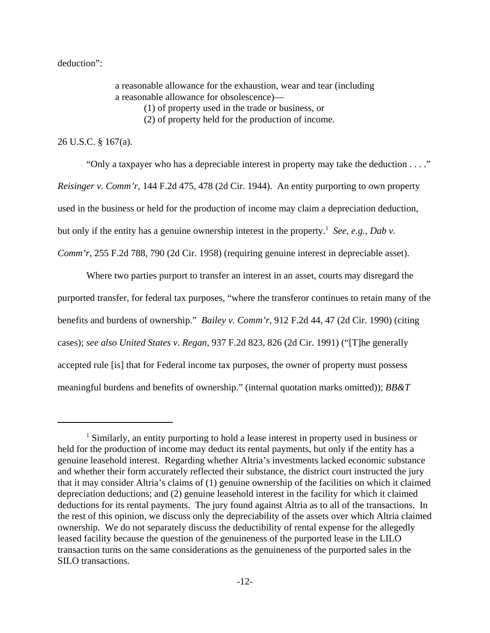deduction":

a reasonable allowance for the exhaustion, wear and tear (including a reasonable allowance for obsolescence)— (1) of property used in the trade or business, or

(2) of property held for the production of income.

26 U.S.C. § 167(a).

"Only a taxpayer who has a depreciable interest in property may take the deduction . . . ." *Reisinger v. Comm'r*, 144 F.2d 475, 478 (2d Cir. 1944). An entity purporting to own property used in the business or held for the production of income may claim a depreciation deduction, but only if the entity has a genuine ownership interest in the property.<sup>1</sup> See, e.g., Dab v. *Comm'r*, 255 F.2d 788, 790 (2d Cir. 1958) (requiring genuine interest in depreciable asset).

Where two parties purport to transfer an interest in an asset, courts may disregard the purported transfer, for federal tax purposes, "where the transferor continues to retain many of the benefits and burdens of ownership." *Bailey v. Comm'r*, 912 F.2d 44, 47 (2d Cir. 1990) (citing cases); *see also United States v. Regan*, 937 F.2d 823, 826 (2d Cir. 1991) ("[T]he generally accepted rule [is] that for Federal income tax purposes, the owner of property must possess meaningful burdens and benefits of ownership." (internal quotation marks omitted)); *BB&T*

<sup>&</sup>lt;sup>1</sup> Similarly, an entity purporting to hold a lease interest in property used in business or held for the production of income may deduct its rental payments, but only if the entity has a genuine leasehold interest. Regarding whether Altria's investments lacked economic substance and whether their form accurately reflected their substance, the district court instructed the jury that it may consider Altria's claims of (1) genuine ownership of the facilities on which it claimed depreciation deductions; and (2) genuine leasehold interest in the facility for which it claimed deductions for its rental payments. The jury found against Altria as to all of the transactions. In the rest of this opinion, we discuss only the depreciability of the assets over which Altria claimed ownership. We do not separately discuss the deductibility of rental expense for the allegedly leased facility because the question of the genuineness of the purported lease in the LILO transaction turns on the same considerations as the genuineness of the purported sales in the SILO transactions.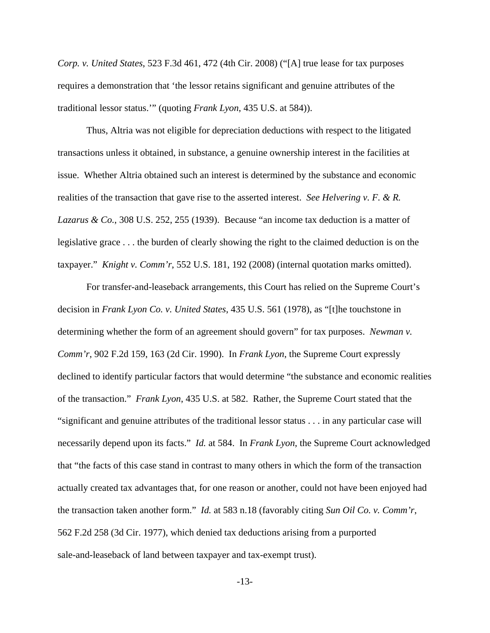*Corp. v. United States*, 523 F.3d 461, 472 (4th Cir. 2008) ("[A] true lease for tax purposes requires a demonstration that 'the lessor retains significant and genuine attributes of the traditional lessor status.'" (quoting *Frank Lyon*, 435 U.S. at 584)).

Thus, Altria was not eligible for depreciation deductions with respect to the litigated transactions unless it obtained, in substance, a genuine ownership interest in the facilities at issue. Whether Altria obtained such an interest is determined by the substance and economic realities of the transaction that gave rise to the asserted interest. *See Helvering v. F. & R. Lazarus & Co.*, 308 U.S. 252, 255 (1939). Because "an income tax deduction is a matter of legislative grace . . . the burden of clearly showing the right to the claimed deduction is on the taxpayer." *Knight v. Comm'r*, 552 U.S. 181, 192 (2008) (internal quotation marks omitted).

For transfer-and-leaseback arrangements, this Court has relied on the Supreme Court's decision in *Frank Lyon Co. v. United States*, 435 U.S. 561 (1978), as "[t]he touchstone in determining whether the form of an agreement should govern" for tax purposes. *Newman v. Comm'r*, 902 F.2d 159, 163 (2d Cir. 1990). In *Frank Lyon*, the Supreme Court expressly declined to identify particular factors that would determine "the substance and economic realities of the transaction." *Frank Lyon*, 435 U.S. at 582. Rather, the Supreme Court stated that the "significant and genuine attributes of the traditional lessor status . . . in any particular case will necessarily depend upon its facts." *Id.* at 584. In *Frank Lyon*, the Supreme Court acknowledged that "the facts of this case stand in contrast to many others in which the form of the transaction actually created tax advantages that, for one reason or another, could not have been enjoyed had the transaction taken another form." *Id.* at 583 n.18 (favorably citing *Sun Oil Co. v. Comm'r*, 562 F.2d 258 (3d Cir. 1977), which denied tax deductions arising from a purported sale-and-leaseback of land between taxpayer and tax-exempt trust).

-13-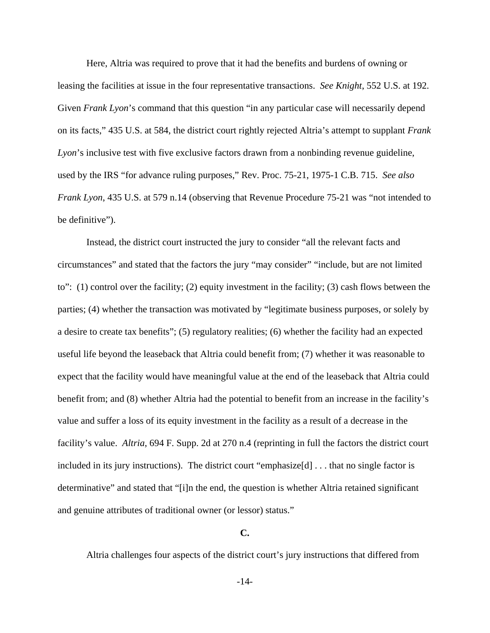Here, Altria was required to prove that it had the benefits and burdens of owning or leasing the facilities at issue in the four representative transactions. *See Knight*, 552 U.S. at 192. Given *Frank Lyon*'s command that this question "in any particular case will necessarily depend on its facts," 435 U.S. at 584, the district court rightly rejected Altria's attempt to supplant *Frank Lyon*'s inclusive test with five exclusive factors drawn from a nonbinding revenue guideline, used by the IRS "for advance ruling purposes," Rev. Proc. 75-21, 1975-1 C.B. 715. *See also Frank Lyon*, 435 U.S. at 579 n.14 (observing that Revenue Procedure 75-21 was "not intended to be definitive").

Instead, the district court instructed the jury to consider "all the relevant facts and circumstances" and stated that the factors the jury "may consider" "include, but are not limited to": (1) control over the facility; (2) equity investment in the facility; (3) cash flows between the parties; (4) whether the transaction was motivated by "legitimate business purposes, or solely by a desire to create tax benefits"; (5) regulatory realities; (6) whether the facility had an expected useful life beyond the leaseback that Altria could benefit from; (7) whether it was reasonable to expect that the facility would have meaningful value at the end of the leaseback that Altria could benefit from; and (8) whether Altria had the potential to benefit from an increase in the facility's value and suffer a loss of its equity investment in the facility as a result of a decrease in the facility's value. *Altria*, 694 F. Supp. 2d at 270 n.4 (reprinting in full the factors the district court included in its jury instructions). The district court "emphasize[d] . . . that no single factor is determinative" and stated that "[i]n the end, the question is whether Altria retained significant and genuine attributes of traditional owner (or lessor) status."

# **C.**

Altria challenges four aspects of the district court's jury instructions that differed from

-14-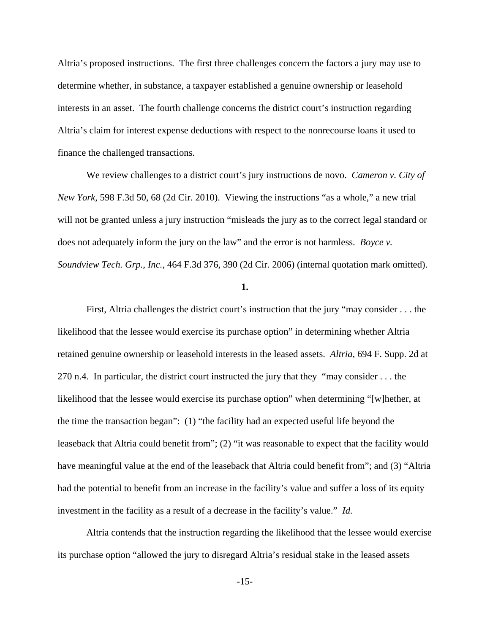Altria's proposed instructions. The first three challenges concern the factors a jury may use to determine whether, in substance, a taxpayer established a genuine ownership or leasehold interests in an asset. The fourth challenge concerns the district court's instruction regarding Altria's claim for interest expense deductions with respect to the nonrecourse loans it used to finance the challenged transactions.

We review challenges to a district court's jury instructions de novo. *Cameron v. City of New York*, 598 F.3d 50, 68 (2d Cir. 2010). Viewing the instructions "as a whole," a new trial will not be granted unless a jury instruction "misleads the jury as to the correct legal standard or does not adequately inform the jury on the law" and the error is not harmless. *Boyce v. Soundview Tech. Grp., Inc.*, 464 F.3d 376, 390 (2d Cir. 2006) (internal quotation mark omitted).

**1.**

First, Altria challenges the district court's instruction that the jury "may consider . . . the likelihood that the lessee would exercise its purchase option" in determining whether Altria retained genuine ownership or leasehold interests in the leased assets. *Altria*, 694 F. Supp. 2d at 270 n.4. In particular, the district court instructed the jury that they "may consider . . . the likelihood that the lessee would exercise its purchase option" when determining "[w]hether, at the time the transaction began": (1) "the facility had an expected useful life beyond the leaseback that Altria could benefit from"; (2) "it was reasonable to expect that the facility would have meaningful value at the end of the leaseback that Altria could benefit from"; and (3) "Altria had the potential to benefit from an increase in the facility's value and suffer a loss of its equity investment in the facility as a result of a decrease in the facility's value." *Id.*

Altria contends that the instruction regarding the likelihood that the lessee would exercise its purchase option "allowed the jury to disregard Altria's residual stake in the leased assets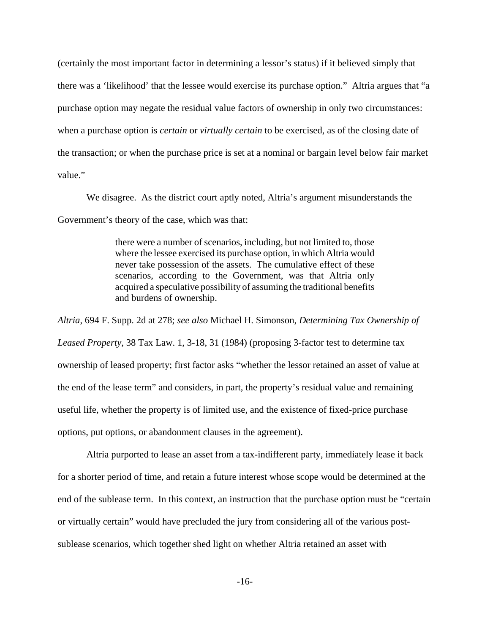(certainly the most important factor in determining a lessor's status) if it believed simply that there was a 'likelihood' that the lessee would exercise its purchase option." Altria argues that "a purchase option may negate the residual value factors of ownership in only two circumstances: when a purchase option is *certain* or *virtually certain* to be exercised, as of the closing date of the transaction; or when the purchase price is set at a nominal or bargain level below fair market value."

We disagree. As the district court aptly noted, Altria's argument misunderstands the Government's theory of the case, which was that:

> there were a number of scenarios, including, but not limited to, those where the lessee exercised its purchase option, in which Altria would never take possession of the assets. The cumulative effect of these scenarios, according to the Government, was that Altria only acquired a speculative possibility of assuming the traditional benefits and burdens of ownership.

*Altria*, 694 F. Supp. 2d at 278; *see also* Michael H. Simonson, *Determining Tax Ownership of Leased Property*, 38 Tax Law. 1, 3-18, 31 (1984) (proposing 3-factor test to determine tax ownership of leased property; first factor asks "whether the lessor retained an asset of value at the end of the lease term" and considers, in part, the property's residual value and remaining useful life, whether the property is of limited use, and the existence of fixed-price purchase options, put options, or abandonment clauses in the agreement).

Altria purported to lease an asset from a tax-indifferent party, immediately lease it back for a shorter period of time, and retain a future interest whose scope would be determined at the end of the sublease term. In this context, an instruction that the purchase option must be "certain or virtually certain" would have precluded the jury from considering all of the various postsublease scenarios, which together shed light on whether Altria retained an asset with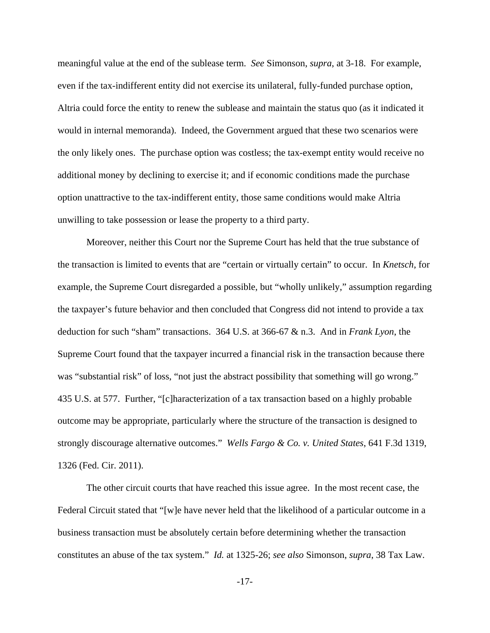meaningful value at the end of the sublease term. *See* Simonson, *supra*, at 3-18. For example, even if the tax-indifferent entity did not exercise its unilateral, fully-funded purchase option, Altria could force the entity to renew the sublease and maintain the status quo (as it indicated it would in internal memoranda). Indeed, the Government argued that these two scenarios were the only likely ones. The purchase option was costless; the tax-exempt entity would receive no additional money by declining to exercise it; and if economic conditions made the purchase option unattractive to the tax-indifferent entity, those same conditions would make Altria unwilling to take possession or lease the property to a third party.

Moreover, neither this Court nor the Supreme Court has held that the true substance of the transaction is limited to events that are "certain or virtually certain" to occur. In *Knetsch*, for example, the Supreme Court disregarded a possible, but "wholly unlikely," assumption regarding the taxpayer's future behavior and then concluded that Congress did not intend to provide a tax deduction for such "sham" transactions. 364 U.S. at 366-67 & n.3. And in *Frank Lyon*, the Supreme Court found that the taxpayer incurred a financial risk in the transaction because there was "substantial risk" of loss, "not just the abstract possibility that something will go wrong." 435 U.S. at 577. Further, "[c]haracterization of a tax transaction based on a highly probable outcome may be appropriate, particularly where the structure of the transaction is designed to strongly discourage alternative outcomes." *Wells Fargo & Co. v. United States*, 641 F.3d 1319, 1326 (Fed. Cir. 2011).

The other circuit courts that have reached this issue agree. In the most recent case, the Federal Circuit stated that "[w]e have never held that the likelihood of a particular outcome in a business transaction must be absolutely certain before determining whether the transaction constitutes an abuse of the tax system." *Id.* at 1325-26; *see also* Simonson, *supra*, 38 Tax Law.

-17-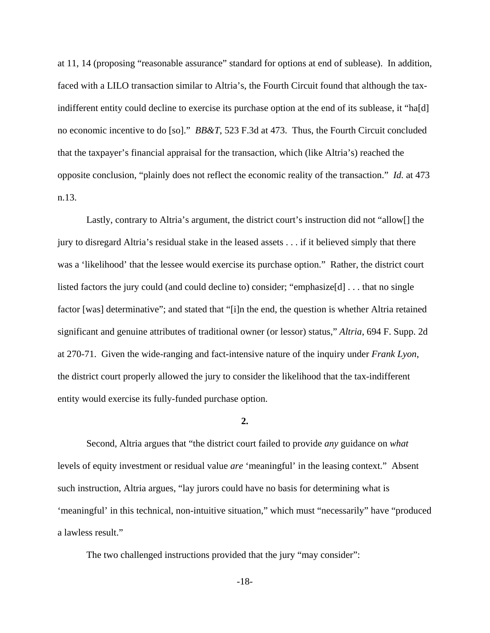at 11, 14 (proposing "reasonable assurance" standard for options at end of sublease). In addition, faced with a LILO transaction similar to Altria's, the Fourth Circuit found that although the taxindifferent entity could decline to exercise its purchase option at the end of its sublease, it "ha[d] no economic incentive to do [so]." *BB&T*, 523 F.3d at 473. Thus, the Fourth Circuit concluded that the taxpayer's financial appraisal for the transaction, which (like Altria's) reached the opposite conclusion, "plainly does not reflect the economic reality of the transaction." *Id.* at 473 n.13.

Lastly, contrary to Altria's argument, the district court's instruction did not "allow[] the jury to disregard Altria's residual stake in the leased assets . . . if it believed simply that there was a 'likelihood' that the lessee would exercise its purchase option." Rather, the district court listed factors the jury could (and could decline to) consider; "emphasize $[d]$ ... that no single factor [was] determinative"; and stated that "[i]n the end, the question is whether Altria retained significant and genuine attributes of traditional owner (or lessor) status," *Altria*, 694 F. Supp. 2d at 270-71. Given the wide-ranging and fact-intensive nature of the inquiry under *Frank Lyon*, the district court properly allowed the jury to consider the likelihood that the tax-indifferent entity would exercise its fully-funded purchase option.

#### **2.**

Second, Altria argues that "the district court failed to provide *any* guidance on *what* levels of equity investment or residual value *are* 'meaningful' in the leasing context." Absent such instruction, Altria argues, "lay jurors could have no basis for determining what is 'meaningful' in this technical, non-intuitive situation," which must "necessarily" have "produced a lawless result."

The two challenged instructions provided that the jury "may consider":

-18-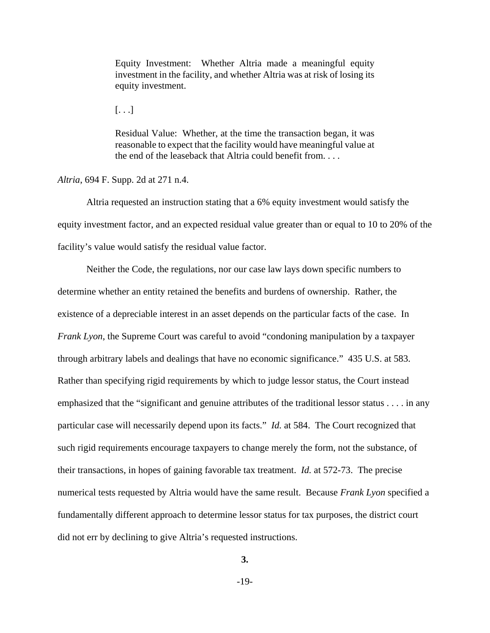Equity Investment: Whether Altria made a meaningful equity investment in the facility, and whether Altria was at risk of losing its equity investment.

 $[\ldots]$ 

Residual Value: Whether, at the time the transaction began, it was reasonable to expect that the facility would have meaningful value at the end of the leaseback that Altria could benefit from. . . .

*Altria*, 694 F. Supp. 2d at 271 n.4.

Altria requested an instruction stating that a 6% equity investment would satisfy the equity investment factor, and an expected residual value greater than or equal to 10 to 20% of the facility's value would satisfy the residual value factor.

Neither the Code, the regulations, nor our case law lays down specific numbers to determine whether an entity retained the benefits and burdens of ownership. Rather, the existence of a depreciable interest in an asset depends on the particular facts of the case. In *Frank Lyon*, the Supreme Court was careful to avoid "condoning manipulation by a taxpayer through arbitrary labels and dealings that have no economic significance." 435 U.S. at 583. Rather than specifying rigid requirements by which to judge lessor status, the Court instead emphasized that the "significant and genuine attributes of the traditional lessor status . . . . in any particular case will necessarily depend upon its facts." *Id.* at 584. The Court recognized that such rigid requirements encourage taxpayers to change merely the form, not the substance, of their transactions, in hopes of gaining favorable tax treatment. *Id.* at 572-73. The precise numerical tests requested by Altria would have the same result. Because *Frank Lyon* specified a fundamentally different approach to determine lessor status for tax purposes, the district court did not err by declining to give Altria's requested instructions.

**3.**

-19-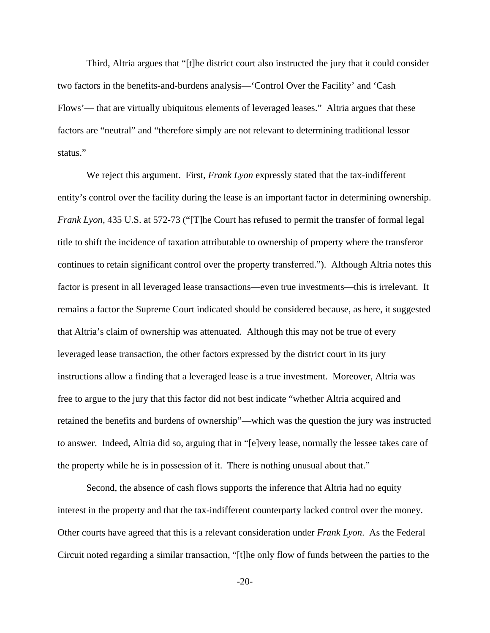Third, Altria argues that "[t]he district court also instructed the jury that it could consider two factors in the benefits-and-burdens analysis—'Control Over the Facility' and 'Cash Flows'— that are virtually ubiquitous elements of leveraged leases." Altria argues that these factors are "neutral" and "therefore simply are not relevant to determining traditional lessor status."

We reject this argument. First, *Frank Lyon* expressly stated that the tax-indifferent entity's control over the facility during the lease is an important factor in determining ownership. *Frank Lyon*, 435 U.S. at 572-73 ("[T]he Court has refused to permit the transfer of formal legal title to shift the incidence of taxation attributable to ownership of property where the transferor continues to retain significant control over the property transferred."). Although Altria notes this factor is present in all leveraged lease transactions—even true investments—this is irrelevant. It remains a factor the Supreme Court indicated should be considered because, as here, it suggested that Altria's claim of ownership was attenuated. Although this may not be true of every leveraged lease transaction, the other factors expressed by the district court in its jury instructions allow a finding that a leveraged lease is a true investment. Moreover, Altria was free to argue to the jury that this factor did not best indicate "whether Altria acquired and retained the benefits and burdens of ownership"—which was the question the jury was instructed to answer. Indeed, Altria did so, arguing that in "[e]very lease, normally the lessee takes care of the property while he is in possession of it. There is nothing unusual about that."

Second, the absence of cash flows supports the inference that Altria had no equity interest in the property and that the tax-indifferent counterparty lacked control over the money. Other courts have agreed that this is a relevant consideration under *Frank Lyon*. As the Federal Circuit noted regarding a similar transaction, "[t]he only flow of funds between the parties to the

-20-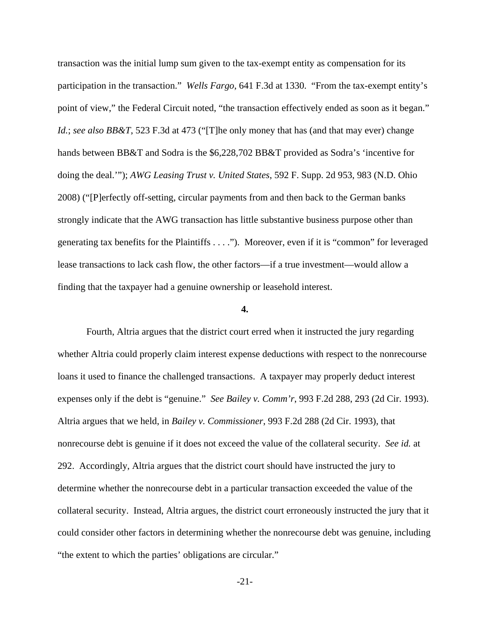transaction was the initial lump sum given to the tax-exempt entity as compensation for its participation in the transaction." *Wells Fargo*, 641 F.3d at 1330. "From the tax-exempt entity's point of view," the Federal Circuit noted, "the transaction effectively ended as soon as it began." *Id.*; *see also BB&T*, 523 F.3d at 473 ("[T]he only money that has (and that may ever) change hands between BB&T and Sodra is the \$6,228,702 BB&T provided as Sodra's 'incentive for doing the deal.'"); *AWG Leasing Trust v. United States*, 592 F. Supp. 2d 953, 983 (N.D. Ohio 2008) ("[P]erfectly off-setting, circular payments from and then back to the German banks strongly indicate that the AWG transaction has little substantive business purpose other than generating tax benefits for the Plaintiffs . . . ."). Moreover, even if it is "common" for leveraged lease transactions to lack cash flow, the other factors—if a true investment—would allow a finding that the taxpayer had a genuine ownership or leasehold interest.

### **4.**

Fourth, Altria argues that the district court erred when it instructed the jury regarding whether Altria could properly claim interest expense deductions with respect to the nonrecourse loans it used to finance the challenged transactions. A taxpayer may properly deduct interest expenses only if the debt is "genuine." *See Bailey v. Comm'r*, 993 F.2d 288, 293 (2d Cir. 1993). Altria argues that we held, in *Bailey v. Commissioner*, 993 F.2d 288 (2d Cir. 1993), that nonrecourse debt is genuine if it does not exceed the value of the collateral security. *See id.* at 292. Accordingly, Altria argues that the district court should have instructed the jury to determine whether the nonrecourse debt in a particular transaction exceeded the value of the collateral security. Instead, Altria argues, the district court erroneously instructed the jury that it could consider other factors in determining whether the nonrecourse debt was genuine, including "the extent to which the parties' obligations are circular."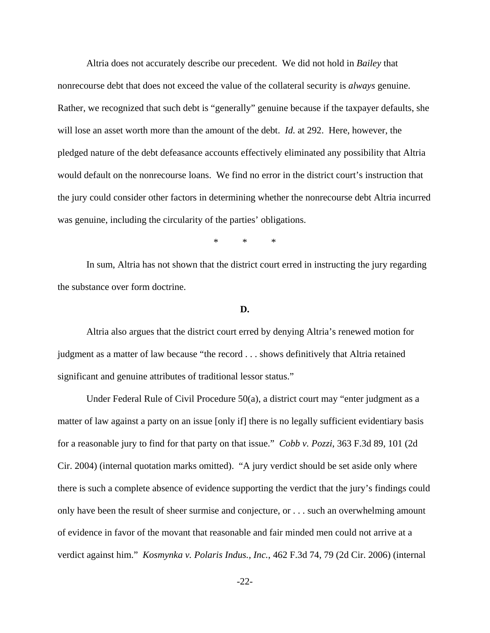Altria does not accurately describe our precedent. We did not hold in *Bailey* that nonrecourse debt that does not exceed the value of the collateral security is *always* genuine. Rather, we recognized that such debt is "generally" genuine because if the taxpayer defaults, she will lose an asset worth more than the amount of the debt. *Id.* at 292. Here, however, the pledged nature of the debt defeasance accounts effectively eliminated any possibility that Altria would default on the nonrecourse loans. We find no error in the district court's instruction that the jury could consider other factors in determining whether the nonrecourse debt Altria incurred was genuine, including the circularity of the parties' obligations.

\* \* \*

In sum, Altria has not shown that the district court erred in instructing the jury regarding the substance over form doctrine.

# **D.**

Altria also argues that the district court erred by denying Altria's renewed motion for judgment as a matter of law because "the record . . . shows definitively that Altria retained significant and genuine attributes of traditional lessor status."

Under Federal Rule of Civil Procedure 50(a), a district court may "enter judgment as a matter of law against a party on an issue [only if] there is no legally sufficient evidentiary basis for a reasonable jury to find for that party on that issue." *Cobb v. Pozzi*, 363 F.3d 89, 101 (2d Cir. 2004) (internal quotation marks omitted). "A jury verdict should be set aside only where there is such a complete absence of evidence supporting the verdict that the jury's findings could only have been the result of sheer surmise and conjecture, or . . . such an overwhelming amount of evidence in favor of the movant that reasonable and fair minded men could not arrive at a verdict against him." *Kosmynka v. Polaris Indus., Inc.*, 462 F.3d 74, 79 (2d Cir. 2006) (internal

-22-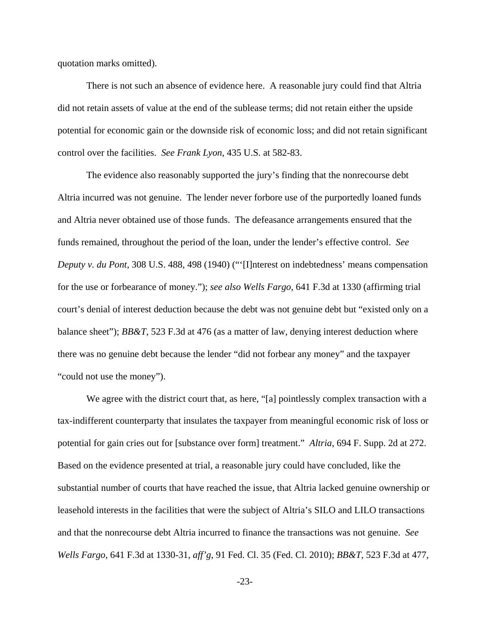quotation marks omitted).

There is not such an absence of evidence here. A reasonable jury could find that Altria did not retain assets of value at the end of the sublease terms; did not retain either the upside potential for economic gain or the downside risk of economic loss; and did not retain significant control over the facilities. *See Frank Lyon*, 435 U.S. at 582-83.

The evidence also reasonably supported the jury's finding that the nonrecourse debt Altria incurred was not genuine. The lender never forbore use of the purportedly loaned funds and Altria never obtained use of those funds. The defeasance arrangements ensured that the funds remained, throughout the period of the loan, under the lender's effective control. *See Deputy v. du Pont*, 308 U.S. 488, 498 (1940) ("'[I]nterest on indebtedness' means compensation for the use or forbearance of money."); *see also Wells Fargo*, 641 F.3d at 1330 (affirming trial court's denial of interest deduction because the debt was not genuine debt but "existed only on a balance sheet"); *BB&T*, 523 F.3d at 476 (as a matter of law, denying interest deduction where there was no genuine debt because the lender "did not forbear any money" and the taxpayer "could not use the money").

We agree with the district court that, as here, "[a] pointlessly complex transaction with a tax-indifferent counterparty that insulates the taxpayer from meaningful economic risk of loss or potential for gain cries out for [substance over form] treatment." *Altria*, 694 F. Supp. 2d at 272. Based on the evidence presented at trial, a reasonable jury could have concluded, like the substantial number of courts that have reached the issue, that Altria lacked genuine ownership or leasehold interests in the facilities that were the subject of Altria's SILO and LILO transactions and that the nonrecourse debt Altria incurred to finance the transactions was not genuine. *See Wells Fargo*, 641 F.3d at 1330-31, *aff'g*, 91 Fed. Cl. 35 (Fed. Cl. 2010); *BB&T*, 523 F.3d at 477,

-23-